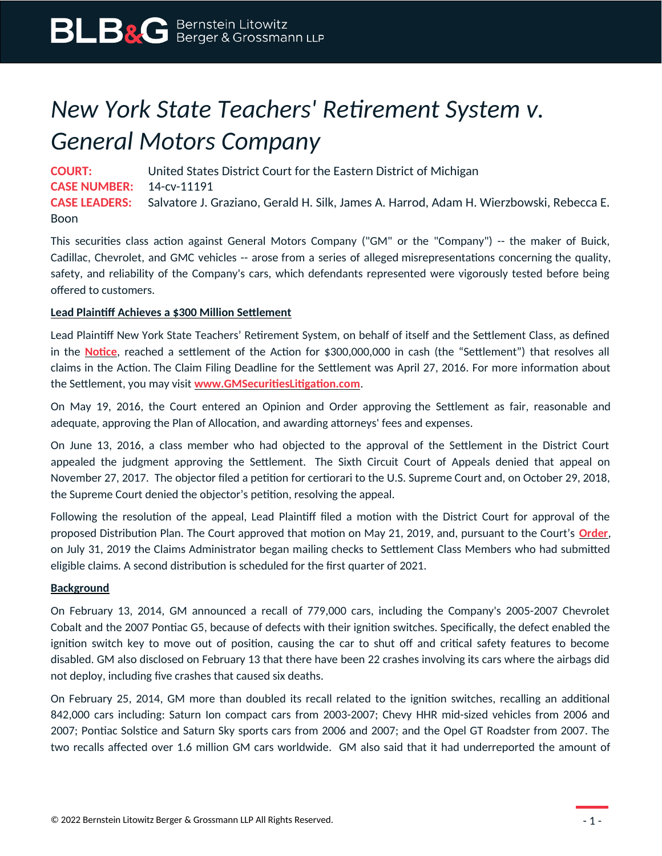## *New York State Teachers' Retirement System v. General Motors Company*

**COURT:** United States District Court for the Eastern District of Michigan **CASE NUMBER:** 14-cv-11191 **CASE LEADERS:** Salvatore J. Graziano, Gerald H. Silk, James A. Harrod, Adam H. Wierzbowski, Rebecca E. Boon

This securities class action against General Motors Company ("GM" or the "Company") -- the maker of Buick, Cadillac, Chevrolet, and GMC vehicles -- arose from a series of alleged misrepresentations concerning the quality, safety, and reliability of the Company's cars, which defendants represented were vigorously tested before being offered to customers.

## **Lead Plaintiff Achieves a \$300 Million Settlement**

Lead Plaintiff New York State Teachers' Retirement System, on behalf of itself and the Settlement Class, as defined in the **[Notice](https://www.blbglaw.com/cases/general-motors-company/_res/id=Attachments/index=8/GM%20-%20Notice.pdf)**, reached a settlement of the Action for \$300,000,000 in cash (the "Settlement") that resolves all claims in the Action. The Claim Filing Deadline for the Settlement was April 27, 2016. For more information about the Settlement, you may visit **[www.GMSecuritiesLitigation.com](http://www.GMSecuritiesLitigation.com/)**.

On May 19, 2016, the Court entered an Opinion and Order approving the Settlement as fair, reasonable and adequate, approving the Plan of Allocation, and awarding attorneys' fees and expenses.

On June 13, 2016, a class member who had objected to the approval of the Settlement in the District Court appealed the judgment approving the Settlement. The Sixth Circuit Court of Appeals denied that appeal on November 27, 2017. The objector filed a petition for certiorari to the U.S. Supreme Court and, on October 29, 2018, the Supreme Court denied the objector's petition, resolving the appeal.

Following the resolution of the appeal, Lead Plaintiff filed a motion with the District Court for approval of the proposed Distribution Plan. The Court approved that motion on May 21, 2019, and, pursuant to the Court's **[Order](https://www.blbglaw.com/cases/general-motors-company/_res/id=Attachments/index=0/2019-05-21%20Dkt%20172%20Order%20Approving%20Distribution%20Plan.pdf)**, on July 31, 2019 the Claims Administrator began mailing checks to Settlement Class Members who had submitted eligible claims. A second distribution is scheduled for the first quarter of 2021.

## **Background**

On February 13, 2014, GM announced a recall of 779,000 cars, including the Company's 2005-2007 Chevrolet Cobalt and the 2007 Pontiac G5, because of defects with their ignition switches. Specifically, the defect enabled the ignition switch key to move out of position, causing the car to shut off and critical safety features to become disabled. GM also disclosed on February 13 that there have been 22 crashes involving its cars where the airbags did not deploy, including five crashes that caused six deaths.

On February 25, 2014, GM more than doubled its recall related to the ignition switches, recalling an additional 842,000 cars including: Saturn Ion compact cars from 2003-2007; Chevy HHR mid-sized vehicles from 2006 and 2007; Pontiac Solstice and Saturn Sky sports cars from 2006 and 2007; and the Opel GT Roadster from 2007. The two recalls affected over 1.6 million GM cars worldwide. GM also said that it had underreported the amount of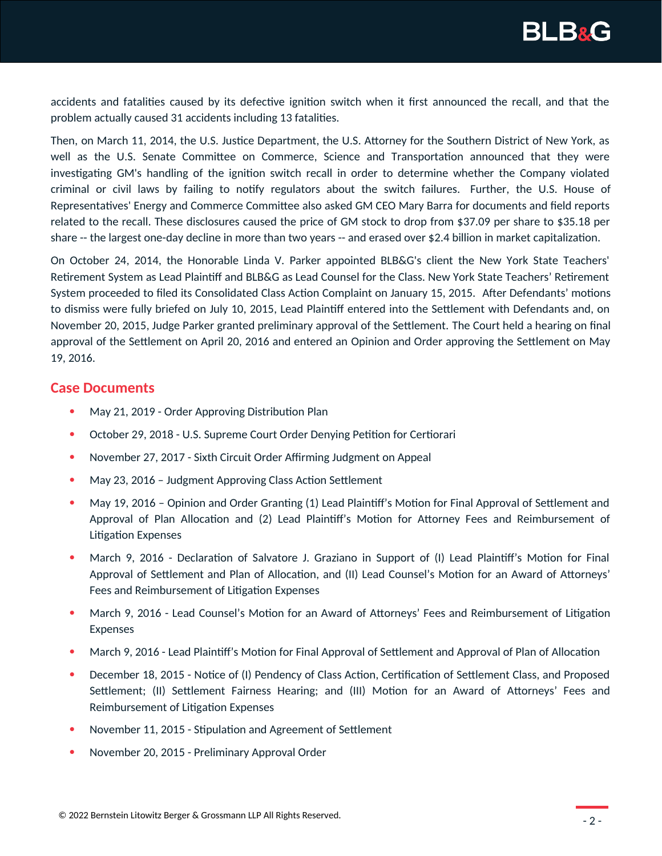

accidents and fatalities caused by its defective ignition switch when it first announced the recall, and that the problem actually caused 31 accidents including 13 fatalities.

Then, on March 11, 2014, the U.S. Justice Department, the U.S. Attorney for the Southern District of New York, as well as the U.S. Senate Committee on Commerce, Science and Transportation announced that they were investigating GM's handling of the ignition switch recall in order to determine whether the Company violated criminal or civil laws by failing to notify regulators about the switch failures. Further, the U.S. House of Representatives' Energy and Commerce Committee also asked GM CEO Mary Barra for documents and field reports related to the recall. These disclosures caused the price of GM stock to drop from \$37.09 per share to \$35.18 per share -- the largest one-day decline in more than two years -- and erased over \$2.4 billion in market capitalization.

On October 24, 2014, the Honorable Linda V. Parker appointed BLB&G's client the New York State Teachers' Retirement System as Lead Plaintiff and BLB&G as Lead Counsel for the Class. New York State Teachers' Retirement System proceeded to filed its Consolidated Class Action Complaint on January 15, 2015. After Defendants' motions to dismiss were fully briefed on July 10, 2015, Lead Plaintiff entered into the Settlement with Defendants and, on November 20, 2015, Judge Parker granted preliminary approval of the Settlement. The Court held a hearing on final approval of the Settlement on April 20, 2016 and entered an Opinion and Order approving the Settlement on May 19, 2016.

## **Case Documents**

- May 21, 2019 Order Approving Distribution Plan
- October 29, 2018 U.S. Supreme Court Order Denying Petition for Certiorari
- November 27, 2017 Sixth Circuit Order Affirming Judgment on Appeal
- May 23, 2016 Judgment Approving Class Action Settlement
- May 19, 2016 Opinion and Order Granting (1) Lead Plaintiff's Motion for Final Approval of Settlement and Approval of Plan Allocation and (2) Lead Plaintiff's Motion for Attorney Fees and Reimbursement of Litigation Expenses
- March 9, 2016 Declaration of Salvatore J. Graziano in Support of (I) Lead Plaintiff's Motion for Final Approval of Settlement and Plan of Allocation, and (II) Lead Counsel's Motion for an Award of Attorneys' Fees and Reimbursement of Litigation Expenses
- March 9, 2016 Lead Counsel's Motion for an Award of Attorneys' Fees and Reimbursement of Litigation Expenses
- March 9, 2016 Lead Plaintiff's Motion for Final Approval of Settlement and Approval of Plan of Allocation
- December 18, 2015 Notice of (I) Pendency of Class Action, Certification of Settlement Class, and Proposed Settlement; (II) Settlement Fairness Hearing; and (III) Motion for an Award of Attorneys' Fees and Reimbursement of Litigation Expenses
- November 11, 2015 Stipulation and Agreement of Settlement
- November 20, 2015 Preliminary Approval Order